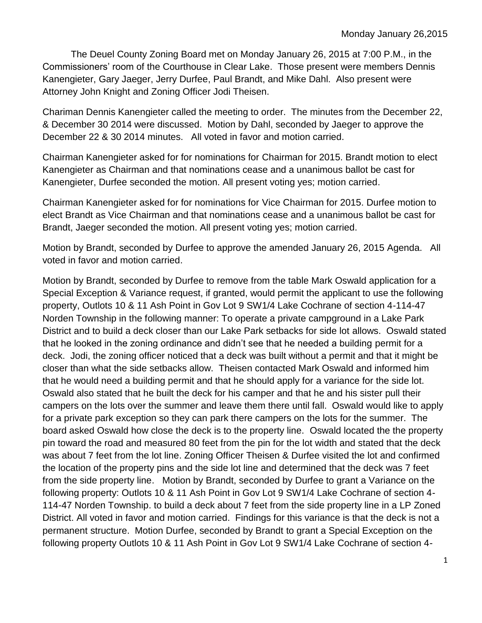The Deuel County Zoning Board met on Monday January 26, 2015 at 7:00 P.M., in the Commissioners' room of the Courthouse in Clear Lake. Those present were members Dennis Kanengieter, Gary Jaeger, Jerry Durfee, Paul Brandt, and Mike Dahl. Also present were Attorney John Knight and Zoning Officer Jodi Theisen.

Chariman Dennis Kanengieter called the meeting to order. The minutes from the December 22, & December 30 2014 were discussed. Motion by Dahl, seconded by Jaeger to approve the December 22 & 30 2014 minutes. All voted in favor and motion carried.

Chairman Kanengieter asked for for nominations for Chairman for 2015. Brandt motion to elect Kanengieter as Chairman and that nominations cease and a unanimous ballot be cast for Kanengieter, Durfee seconded the motion. All present voting yes; motion carried.

Chairman Kanengieter asked for for nominations for Vice Chairman for 2015. Durfee motion to elect Brandt as Vice Chairman and that nominations cease and a unanimous ballot be cast for Brandt, Jaeger seconded the motion. All present voting yes; motion carried.

Motion by Brandt, seconded by Durfee to approve the amended January 26, 2015 Agenda. All voted in favor and motion carried.

Motion by Brandt, seconded by Durfee to remove from the table Mark Oswald application for a Special Exception & Variance request, if granted, would permit the applicant to use the following property, Outlots 10 & 11 Ash Point in Gov Lot 9 SW1/4 Lake Cochrane of section 4-114-47 Norden Township in the following manner: To operate a private campground in a Lake Park District and to build a deck closer than our Lake Park setbacks for side lot allows. Oswald stated that he looked in the zoning ordinance and didn't see that he needed a building permit for a deck. Jodi, the zoning officer noticed that a deck was built without a permit and that it might be closer than what the side setbacks allow. Theisen contacted Mark Oswald and informed him that he would need a building permit and that he should apply for a variance for the side lot. Oswald also stated that he built the deck for his camper and that he and his sister pull their campers on the lots over the summer and leave them there until fall. Oswald would like to apply for a private park exception so they can park there campers on the lots for the summer. The board asked Oswald how close the deck is to the property line. Oswald located the the property pin toward the road and measured 80 feet from the pin for the lot width and stated that the deck was about 7 feet from the lot line. Zoning Officer Theisen & Durfee visited the lot and confirmed the location of the property pins and the side lot line and determined that the deck was 7 feet from the side property line. Motion by Brandt, seconded by Durfee to grant a Variance on the following property: Outlots 10 & 11 Ash Point in Gov Lot 9 SW1/4 Lake Cochrane of section 4- 114-47 Norden Township. to build a deck about 7 feet from the side property line in a LP Zoned District. All voted in favor and motion carried. Findings for this variance is that the deck is not a permanent structure. Motion Durfee, seconded by Brandt to grant a Special Exception on the following property Outlots 10 & 11 Ash Point in Gov Lot 9 SW1/4 Lake Cochrane of section 4-